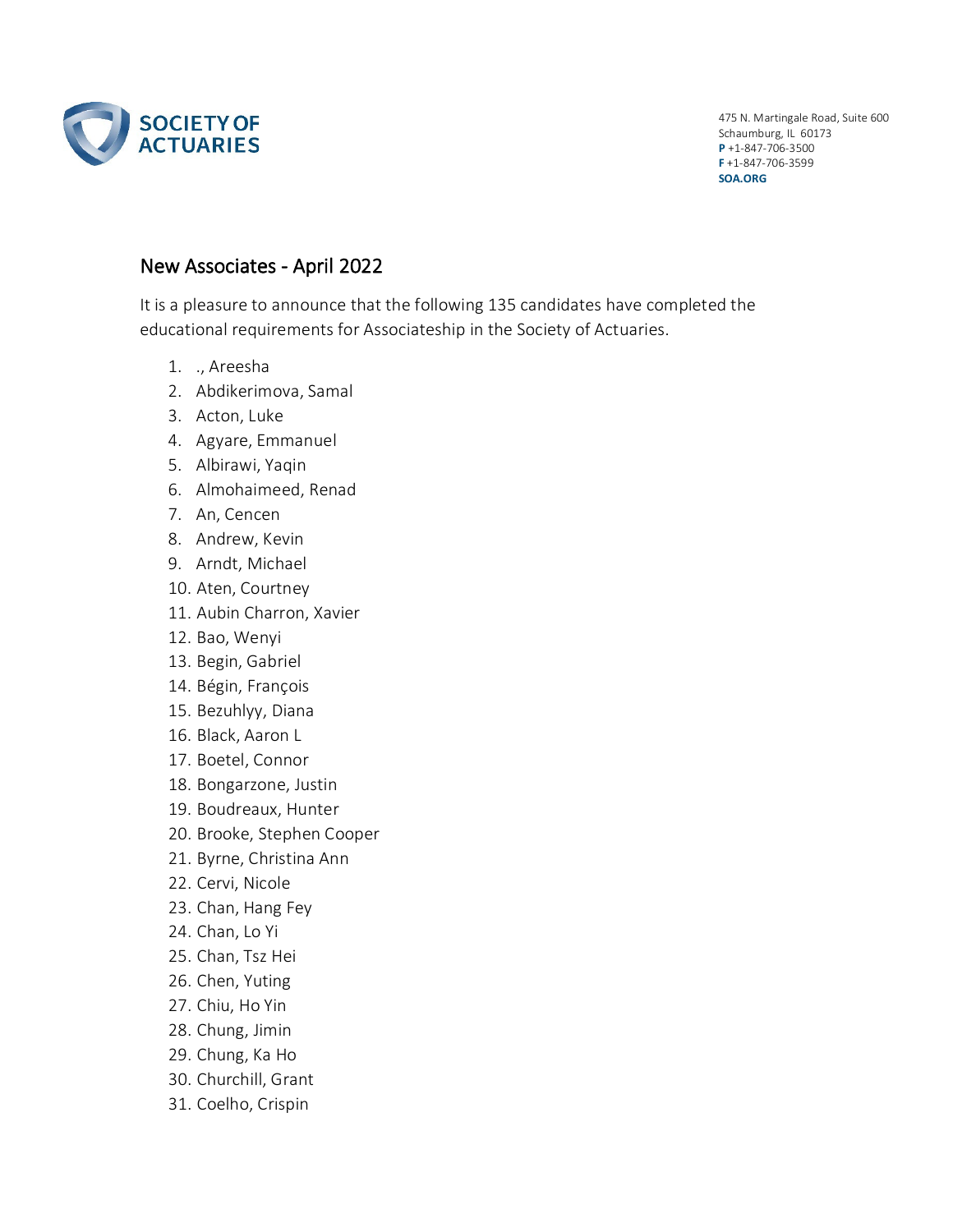

475 N. Martingale Road, Suite 600 Schaumburg, IL 60173 **P** +1-847-706-3500 **F** +1-847-706-3599 **SOA.ORG**

## New Associates - April 2022

It is a pleasure to announce that the following 135 candidates have completed the educational requirements for Associateship in the Society of Actuaries.

- 1. ., Areesha
- 2. Abdikerimova, Samal
- 3. Acton, Luke
- 4. Agyare, Emmanuel
- 5. Albirawi, Yaqin
- 6. Almohaimeed, Renad
- 7. An, Cencen
- 8. Andrew, Kevin
- 9. Arndt, Michael
- 10. Aten, Courtney
- 11. Aubin Charron, Xavier
- 12. Bao, Wenyi
- 13. Begin, Gabriel
- 14. Bégin, François
- 15. Bezuhlyy, Diana
- 16. Black, Aaron L
- 17. Boetel, Connor
- 18. Bongarzone, Justin
- 19. Boudreaux, Hunter
- 20. Brooke, Stephen Cooper
- 21. Byrne, Christina Ann
- 22. Cervi, Nicole
- 23. Chan, Hang Fey
- 24. Chan, Lo Yi
- 25. Chan, Tsz Hei
- 26. Chen, Yuting
- 27. Chiu, Ho Yin
- 28. Chung, Jimin
- 29. Chung, Ka Ho
- 30. Churchill, Grant
- 31. Coelho, Crispin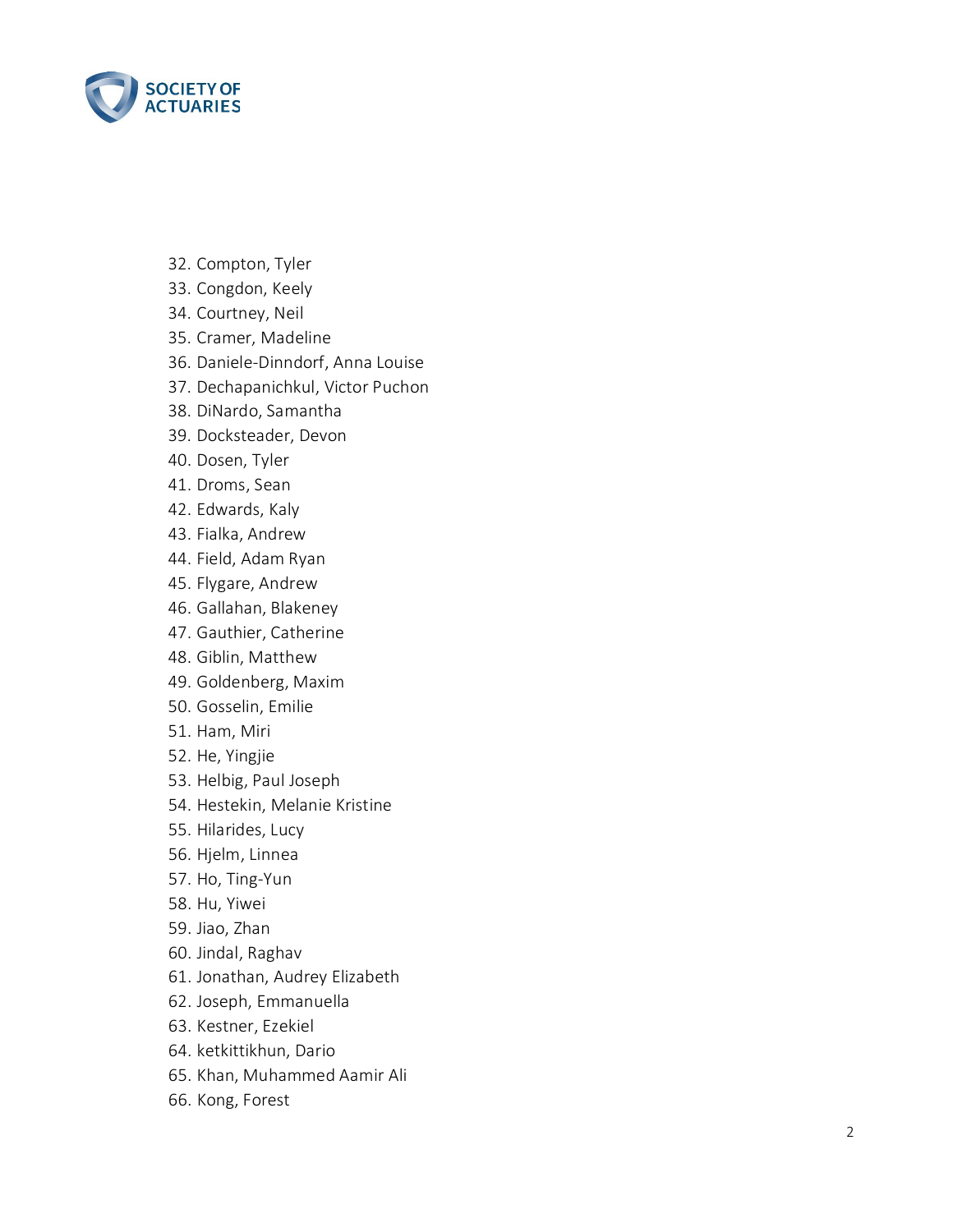

- 32. Compton, Tyler
- 33. Congdon, Keely
- 34. Courtney, Neil
- 35. Cramer, Madeline
- 36. Daniele -Dinndorf, Anna Louise
- 37. Dechapanichkul, Victor Puchon
- 38. DiNardo, Samantha
- 39. Docksteader, Devon
- 40. Dosen, Tyler
- 41. Droms, Sean
- 42. Edwards, Kaly
- 43. Fialka, Andrew
- 44. Field, Adam Ryan
- 45. Flygare, Andrew
- 46. Gallahan, Blakeney
- 47. Gauthier, Catherine
- 48. Giblin, Matthew
- 49. Goldenberg, Maxim
- 50. Gosselin, Emilie
- 51. Ham, Miri
- 52. He, Yingjie
- 53. Helbig, Paul Joseph
- 54. Hestekin, Melanie Kristine
- 55. Hilarides, Lucy
- 56. Hjelm, Linnea
- 57. Ho, Ting -Yun
- 58. Hu, Yiwei
- 59. Jiao, Zhan
- 60. Jindal, Raghav
- 61. Jonathan, Audrey Elizabeth
- 62. Joseph, Emmanuella
- 63. Kestner, Ezekiel
- 64. ketkittikhun, Dario
- 65. Khan, Muhammed Aamir Ali
- 66. Kong, Forest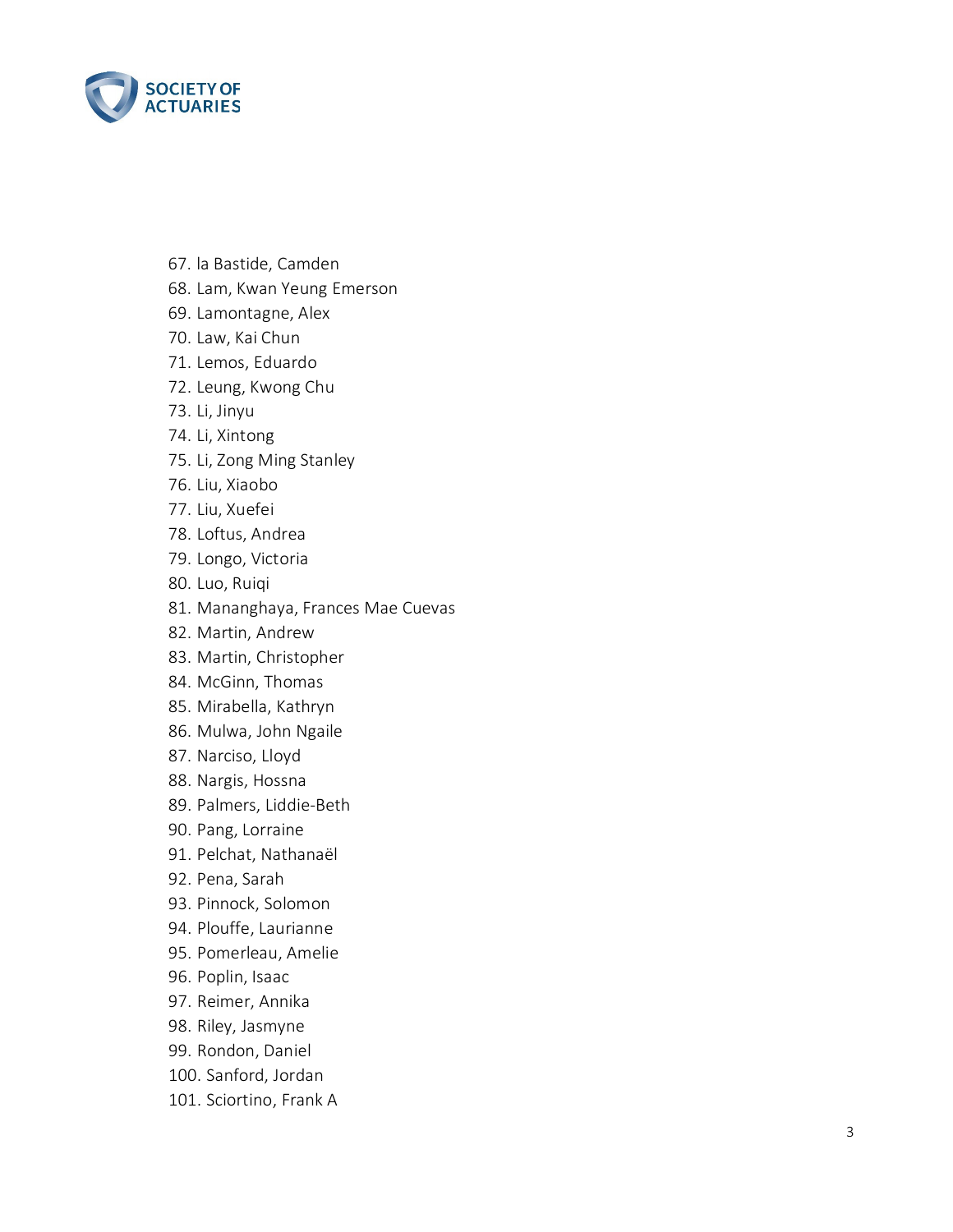

- 67. la Bastide, Camden
- 68. Lam, Kwan Yeung Emerson
- 69. Lamontagne, Alex
- 70. Law, Kai Chun
- 71. Lemos, Eduardo
- 72. Leung, Kwong Chu
- 73. Li, Jinyu
- 74. Li, Xintong
- 75. Li, Zong Ming Stanley
- 76. Liu, Xiaobo
- 77. Liu, Xuefei
- 78. Loftus, Andrea
- 79. Longo, Victoria
- 80. Luo, Ruiqi
- 81. Mananghaya, Frances Mae Cuevas
- 82. Martin, Andrew
- 83. Martin, Christopher
- 84. McGinn, Thomas
- 85. Mirabella, Kathryn
- 86. Mulwa, John Ngaile
- 87. Narciso, Lloyd
- 88. Nargis, Hossna
- 89. Palmers, Liddie -Beth
- 90. Pang, Lorraine
- 91. Pelchat, Nathanaël
- 92. Pena, Sarah
- 93. Pinnock, Solomon
- 94. Plouffe, Laurianne
- 95. Pomerleau, Amelie
- 96. Poplin, Isaac
- 97. Reimer, Annika
- 98. Riley, Jasmyne
- 99. Rondon, Daniel
- 100. Sanford, Jordan
- 101. Sciortino, Frank A